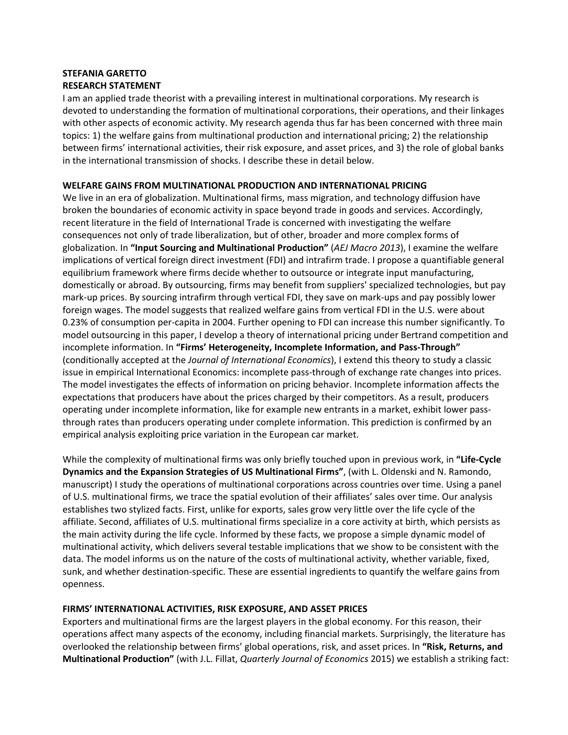## **STEFANIA GARETTO RESEARCH STATEMENT**

I am an applied trade theorist with a prevailing interest in multinational corporations. My research is devoted to understanding the formation of multinational corporations, their operations, and their linkages with other aspects of economic activity. My research agenda thus far has been concerned with three main topics: 1) the welfare gains from multinational production and international pricing; 2) the relationship between firms' international activities, their risk exposure, and asset prices, and 3) the role of global banks in the international transmission of shocks. I describe these in detail below.

## **WELFARE GAINS FROM MULTINATIONAL PRODUCTION AND INTERNATIONAL PRICING**

We live in an era of globalization. Multinational firms, mass migration, and technology diffusion have broken the boundaries of economic activity in space beyond trade in goods and services. Accordingly, recent literature in the field of International Trade is concerned with investigating the welfare consequences not only of trade liberalization, but of other, broader and more complex forms of globalization. In **"Input Sourcing and Multinational Production"** (*AEJ Macro 2013*), I examine the welfare implications of vertical foreign direct investment (FDI) and intrafirm trade. I propose a quantifiable general equilibrium framework where firms decide whether to outsource or integrate input manufacturing, domestically or abroad. By outsourcing, firms may benefit from suppliers' specialized technologies, but pay mark-up prices. By sourcing intrafirm through vertical FDI, they save on mark-ups and pay possibly lower foreign wages. The model suggests that realized welfare gains from vertical FDI in the U.S. were about 0.23% of consumption per-capita in 2004. Further opening to FDI can increase this number significantly. To model outsourcing in this paper, I develop a theory of international pricing under Bertrand competition and incomplete information. In **"Firms' Heterogeneity, Incomplete Information, and Pass-Through"** (conditionally accepted at the *Journal of International Economics*), I extend this theory to study a classic issue in empirical International Economics: incomplete pass-through of exchange rate changes into prices. The model investigates the effects of information on pricing behavior. Incomplete information affects the expectations that producers have about the prices charged by their competitors. As a result, producers operating under incomplete information, like for example new entrants in a market, exhibit lower passthrough rates than producers operating under complete information. This prediction is confirmed by an empirical analysis exploiting price variation in the European car market.

While the complexity of multinational firms was only briefly touched upon in previous work, in **"Life-Cycle Dynamics and the Expansion Strategies of US Multinational Firms"**, (with L. Oldenski and N. Ramondo, manuscript) I study the operations of multinational corporations across countries over time. Using a panel of U.S. multinational firms, we trace the spatial evolution of their affiliates' sales over time. Our analysis establishes two stylized facts. First, unlike for exports, sales grow very little over the life cycle of the affiliate. Second, affiliates of U.S. multinational firms specialize in a core activity at birth, which persists as the main activity during the life cycle. Informed by these facts, we propose a simple dynamic model of multinational activity, which delivers several testable implications that we show to be consistent with the data. The model informs us on the nature of the costs of multinational activity, whether variable, fixed, sunk, and whether destination-specific. These are essential ingredients to quantify the welfare gains from openness.

## **FIRMS' INTERNATIONAL ACTIVITIES, RISK EXPOSURE, AND ASSET PRICES**

Exporters and multinational firms are the largest players in the global economy. For this reason, their operations affect many aspects of the economy, including financial markets. Surprisingly, the literature has overlooked the relationship between firms' global operations, risk, and asset prices. In **"Risk, Returns, and Multinational Production"** (with J.L. Fillat, *Quarterly Journal of Economics* 2015) we establish a striking fact: